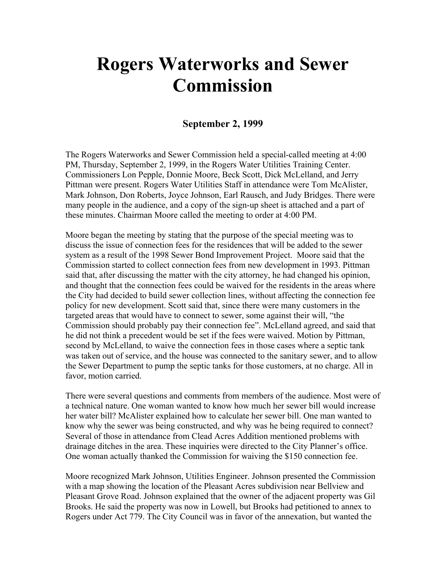## **Rogers Waterworks and Sewer Commission**

## **September 2, 1999**

The Rogers Waterworks and Sewer Commission held a special-called meeting at 4:00 PM, Thursday, September 2, 1999, in the Rogers Water Utilities Training Center. Commissioners Lon Pepple, Donnie Moore, Beck Scott, Dick McLelland, and Jerry Pittman were present. Rogers Water Utilities Staff in attendance were Tom McAlister, Mark Johnson, Don Roberts, Joyce Johnson, Earl Rausch, and Judy Bridges. There were many people in the audience, and a copy of the sign-up sheet is attached and a part of these minutes. Chairman Moore called the meeting to order at 4:00 PM.

Moore began the meeting by stating that the purpose of the special meeting was to discuss the issue of connection fees for the residences that will be added to the sewer system as a result of the 1998 Sewer Bond Improvement Project. Moore said that the Commission started to collect connection fees from new development in 1993. Pittman said that, after discussing the matter with the city attorney, he had changed his opinion, and thought that the connection fees could be waived for the residents in the areas where the City had decided to build sewer collection lines, without affecting the connection fee policy for new development. Scott said that, since there were many customers in the targeted areas that would have to connect to sewer, some against their will, "the Commission should probably pay their connection fee". McLelland agreed, and said that he did not think a precedent would be set if the fees were waived. Motion by Pittman, second by McLelland, to waive the connection fees in those cases where a septic tank was taken out of service, and the house was connected to the sanitary sewer, and to allow the Sewer Department to pump the septic tanks for those customers, at no charge. All in favor, motion carried.

There were several questions and comments from members of the audience. Most were of a technical nature. One woman wanted to know how much her sewer bill would increase her water bill? McAlister explained how to calculate her sewer bill. One man wanted to know why the sewer was being constructed, and why was he being required to connect? Several of those in attendance from Clead Acres Addition mentioned problems with drainage ditches in the area. These inquiries were directed to the City Planner's office. One woman actually thanked the Commission for waiving the \$150 connection fee.

Moore recognized Mark Johnson, Utilities Engineer. Johnson presented the Commission with a map showing the location of the Pleasant Acres subdivision near Bellview and Pleasant Grove Road. Johnson explained that the owner of the adjacent property was Gil Brooks. He said the property was now in Lowell, but Brooks had petitioned to annex to Rogers under Act 779. The City Council was in favor of the annexation, but wanted the